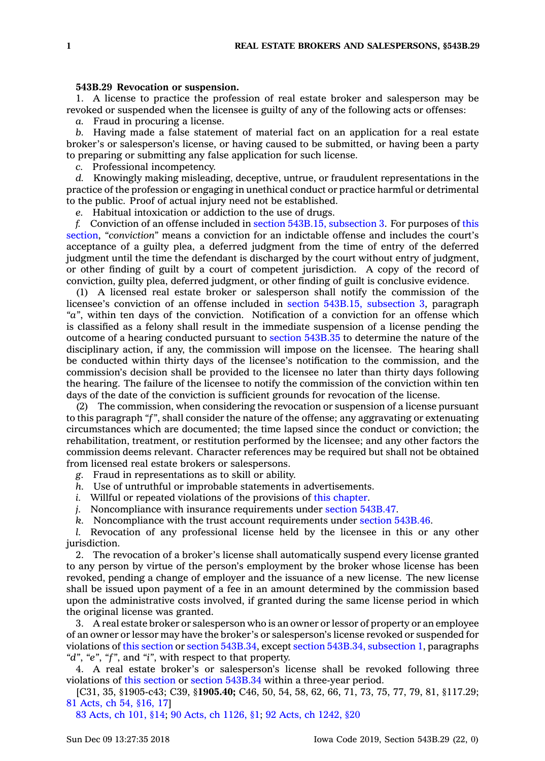## **543B.29 Revocation or suspension.**

1. A license to practice the profession of real estate broker and salesperson may be revoked or suspended when the licensee is guilty of any of the following acts or offenses:

*a.* Fraud in procuring <sup>a</sup> license.

*b.* Having made <sup>a</sup> false statement of material fact on an application for <sup>a</sup> real estate broker's or salesperson's license, or having caused to be submitted, or having been <sup>a</sup> party to preparing or submitting any false application for such license.

*c.* Professional incompetency.

*d.* Knowingly making misleading, deceptive, untrue, or fraudulent representations in the practice of the profession or engaging in unethical conduct or practice harmful or detrimental to the public. Proof of actual injury need not be established.

*e.* Habitual intoxication or addiction to the use of drugs.

*f.* Conviction of an offense included in section 543B.15, [subsection](https://www.legis.iowa.gov/docs/code/543B.15.pdf) 3. For purposes of [this](https://www.legis.iowa.gov/docs/code/543B.29.pdf) [section](https://www.legis.iowa.gov/docs/code/543B.29.pdf), *"conviction"* means <sup>a</sup> conviction for an indictable offense and includes the court's acceptance of <sup>a</sup> guilty plea, <sup>a</sup> deferred judgment from the time of entry of the deferred judgment until the time the defendant is discharged by the court without entry of judgment, or other finding of guilt by <sup>a</sup> court of competent jurisdiction. A copy of the record of conviction, guilty plea, deferred judgment, or other finding of guilt is conclusive evidence.

(1) A licensed real estate broker or salesperson shall notify the commission of the licensee's conviction of an offense included in section 543B.15, [subsection](https://www.legis.iowa.gov/docs/code/543B.15.pdf) 3, paragraph *"a"*, within ten days of the conviction. Notification of <sup>a</sup> conviction for an offense which is classified as <sup>a</sup> felony shall result in the immediate suspension of <sup>a</sup> license pending the outcome of <sup>a</sup> hearing conducted pursuant to section [543B.35](https://www.legis.iowa.gov/docs/code/543B.35.pdf) to determine the nature of the disciplinary action, if any, the commission will impose on the licensee. The hearing shall be conducted within thirty days of the licensee's notification to the commission, and the commission's decision shall be provided to the licensee no later than thirty days following the hearing. The failure of the licensee to notify the commission of the conviction within ten days of the date of the conviction is sufficient grounds for revocation of the license.

(2) The commission, when considering the revocation or suspension of <sup>a</sup> license pursuant to this paragraph *"f"*, shall consider the nature of the offense; any aggravating or extenuating circumstances which are documented; the time lapsed since the conduct or conviction; the rehabilitation, treatment, or restitution performed by the licensee; and any other factors the commission deems relevant. Character references may be required but shall not be obtained from licensed real estate brokers or salespersons.

*g.* Fraud in representations as to skill or ability.

- *h.* Use of untruthful or improbable statements in advertisements.
- *i.* Willful or repeated violations of the provisions of this [chapter](https://www.legis.iowa.gov/docs/code//543B.pdf).
- *j.* Noncompliance with insurance requirements under section [543B.47](https://www.legis.iowa.gov/docs/code/543B.47.pdf).
- *k.* Noncompliance with the trust account requirements under section [543B.46](https://www.legis.iowa.gov/docs/code/543B.46.pdf).

*l.* Revocation of any professional license held by the licensee in this or any other jurisdiction.

2. The revocation of <sup>a</sup> broker's license shall automatically suspend every license granted to any person by virtue of the person's employment by the broker whose license has been revoked, pending <sup>a</sup> change of employer and the issuance of <sup>a</sup> new license. The new license shall be issued upon payment of <sup>a</sup> fee in an amount determined by the commission based upon the administrative costs involved, if granted during the same license period in which the original license was granted.

3. A real estate broker or salesperson who is an owner or lessor of property or an employee of an owner or lessor may have the broker's or salesperson's license revoked or suspended for violations of this [section](https://www.legis.iowa.gov/docs/code/543B.29.pdf) or section [543B.34](https://www.legis.iowa.gov/docs/code/543B.34.pdf), except section 543B.34, [subsection](https://www.legis.iowa.gov/docs/code/543B.34.pdf) 1, paragraphs *"d"*, *"e"*, *"f"*, and *"i"*, with respect to that property.

4. A real estate broker's or salesperson's license shall be revoked following three violations of this [section](https://www.legis.iowa.gov/docs/code/543B.29.pdf) or section [543B.34](https://www.legis.iowa.gov/docs/code/543B.34.pdf) within <sup>a</sup> three-year period.

[C31, 35, §1905-c43; C39, §**1905.40;** C46, 50, 54, 58, 62, 66, 71, 73, 75, 77, 79, 81, §117.29; 81 [Acts,](https://www.legis.iowa.gov/docs/acts/1981/CH0054.pdf) ch 54, §16, 17]

83 [Acts,](https://www.legis.iowa.gov/docs/acts/83/CH0101.pdf) ch 101, §14; 90 Acts, ch [1126,](https://www.legis.iowa.gov/docs/acts/90/CH1126.pdf) §1; 92 Acts, ch [1242,](https://www.legis.iowa.gov/docs/acts/92/CH1242.pdf) §20